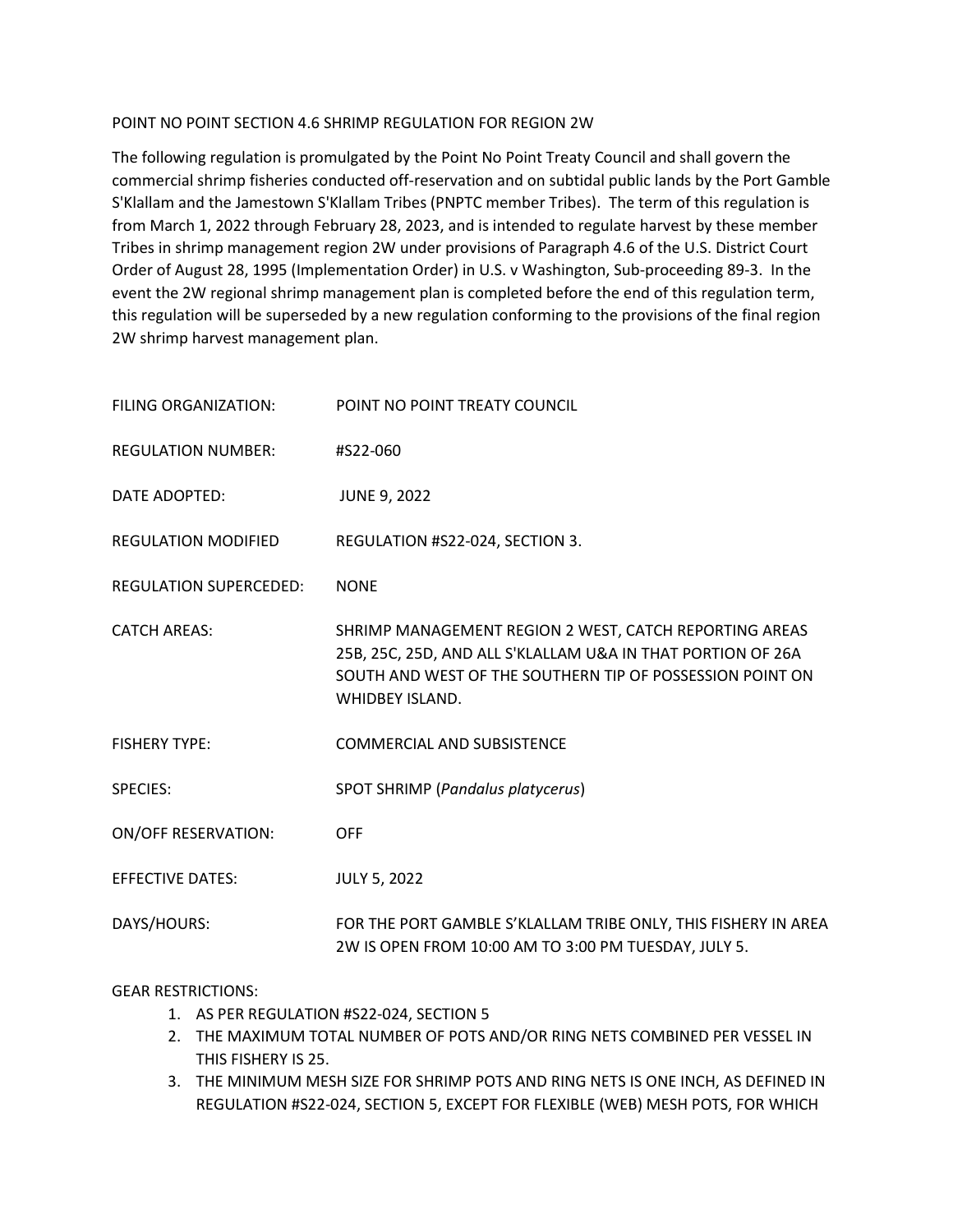### POINT NO POINT SECTION 4.6 SHRIMP REGULATION FOR REGION 2W

The following regulation is promulgated by the Point No Point Treaty Council and shall govern the commercial shrimp fisheries conducted off-reservation and on subtidal public lands by the Port Gamble S'Klallam and the Jamestown S'Klallam Tribes (PNPTC member Tribes). The term of this regulation is from March 1, 2022 through February 28, 2023, and is intended to regulate harvest by these member Tribes in shrimp management region 2W under provisions of Paragraph 4.6 of the U.S. District Court Order of August 28, 1995 (Implementation Order) in U.S. v Washington, Sub-proceeding 89-3. In the event the 2W regional shrimp management plan is completed before the end of this regulation term, this regulation will be superseded by a new regulation conforming to the provisions of the final region 2W shrimp harvest management plan.

| FILING ORGANIZATION:          | POINT NO POINT TREATY COUNCIL                                                                                                                                                                                |
|-------------------------------|--------------------------------------------------------------------------------------------------------------------------------------------------------------------------------------------------------------|
| <b>REGULATION NUMBER:</b>     | #S22-060                                                                                                                                                                                                     |
| DATE ADOPTED:                 | <b>JUNE 9, 2022</b>                                                                                                                                                                                          |
| <b>REGULATION MODIFIED</b>    | REGULATION #S22-024, SECTION 3.                                                                                                                                                                              |
| <b>REGULATION SUPERCEDED:</b> | <b>NONE</b>                                                                                                                                                                                                  |
| <b>CATCH AREAS:</b>           | SHRIMP MANAGEMENT REGION 2 WEST, CATCH REPORTING AREAS<br>25B, 25C, 25D, AND ALL S'KLALLAM U&A IN THAT PORTION OF 26A<br>SOUTH AND WEST OF THE SOUTHERN TIP OF POSSESSION POINT ON<br><b>WHIDBEY ISLAND.</b> |
| <b>FISHERY TYPE:</b>          | <b>COMMERCIAL AND SUBSISTENCE</b>                                                                                                                                                                            |
| <b>SPECIES:</b>               | SPOT SHRIMP (Pandalus platycerus)                                                                                                                                                                            |
| <b>ON/OFF RESERVATION:</b>    | <b>OFF</b>                                                                                                                                                                                                   |
| <b>EFFECTIVE DATES:</b>       | <b>JULY 5, 2022</b>                                                                                                                                                                                          |
| DAYS/HOURS:                   | FOR THE PORT GAMBLE S'KLALLAM TRIBE ONLY, THIS FISHERY IN AREA<br>2W IS OPEN FROM 10:00 AM TO 3:00 PM TUESDAY, JULY 5.                                                                                       |

### GEAR RESTRICTIONS:

- 1. AS PER REGULATION #S22-024, SECTION 5
- 2. THE MAXIMUM TOTAL NUMBER OF POTS AND/OR RING NETS COMBINED PER VESSEL IN THIS FISHERY IS 25.
- 3. THE MINIMUM MESH SIZE FOR SHRIMP POTS AND RING NETS IS ONE INCH, AS DEFINED IN REGULATION #S22-024, SECTION 5, EXCEPT FOR FLEXIBLE (WEB) MESH POTS, FOR WHICH